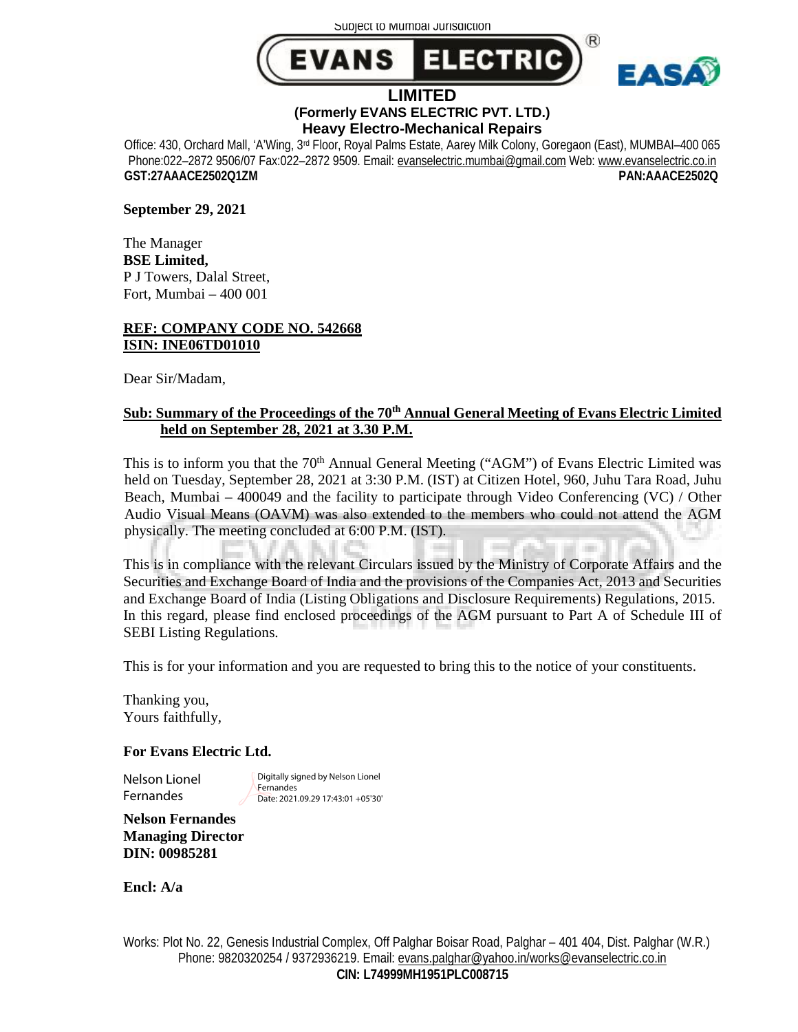Subject to Mumbai Jurisdiction





#### **LIMITED (Formerly EVANS ELECTRIC PVT. LTD.) Heavy Electro-Mechanical Repairs**

Office: 430, Orchard Mall, 'A'Wing, 3rd Floor, Royal Palms Estate, Aarey Milk Colony, Goregaon (East), MUMBAI–400 065 Phone:022–2872 9506/07 Fax:022–2872 9509. Email: [evanselectric.mumbai@gmail.com](mailto:evanselectric.mumbai@gmail.com) Web: [www.evanselectric.co.in](http://www.evanselectric.co.in) **GST:27AAACE2502Q1ZM PAN:AAACE2502Q** 

**September 29, 2021** 

The Manager **BSE Limited,**  P J Towers, Dalal Street, Fort, Mumbai – 400 001

## **REF: COMPANY CODE NO. 542668 ISIN: INE06TD01010**

Dear Sir/Madam,

# **Sub: Summary of the Proceedings of the 70th Annual General Meeting of Evans Electric Limited held on September 28, 2021 at 3.30 P.M.**

This is to inform you that the 70<sup>th</sup> Annual General Meeting ("AGM") of Evans Electric Limited was held on Tuesday, September 28, 2021 at 3:30 P.M. (IST) at Citizen Hotel, 960, Juhu Tara Road, Juhu Beach, Mumbai – 400049 and the facility to participate through Video Conferencing (VC) / Other Audio Visual Means (OAVM) was also extended to the members who could not attend the AGM physically. The meeting concluded at 6:00 P.M. (IST).

This is in compliance with the relevant Circulars issued by the Ministry of Corporate Affairs and the Securities and Exchange Board of India and the provisions of the Companies Act, 2013 and Securities and Exchange Board of India (Listing Obligations and Disclosure Requirements) Regulations, 2015. In this regard, please find enclosed proceedings of the AGM pursuant to Part A of Schedule III of SEBI Listing Regulations.

This is for your information and you are requested to bring this to the notice of your constituents.

Thanking you, Yours faithfully,

## **For Evans Electric Ltd.**

Nelson Lionel Fernandes

Digitally signed by Nelson Lionel Fernandes Date: 2021.09.29 17:43:01 +05'30'

**Nelson Fernandes Managing Director DIN: 00985281** 

**Encl: A/a** 

Works: Plot No. 22, Genesis Industrial Complex, Off Palghar Boisar Road, Palghar – 401 404, Dist. Palghar (W.R.) Phone: 9820320254 / 9372936219. Email: [evans.palghar@yahoo.in/works@evanselectric.co.in](mailto:evans.palghar@yahoo.in/works@evanselectric.co.in) **CIN: L74999MH1951PLC008715**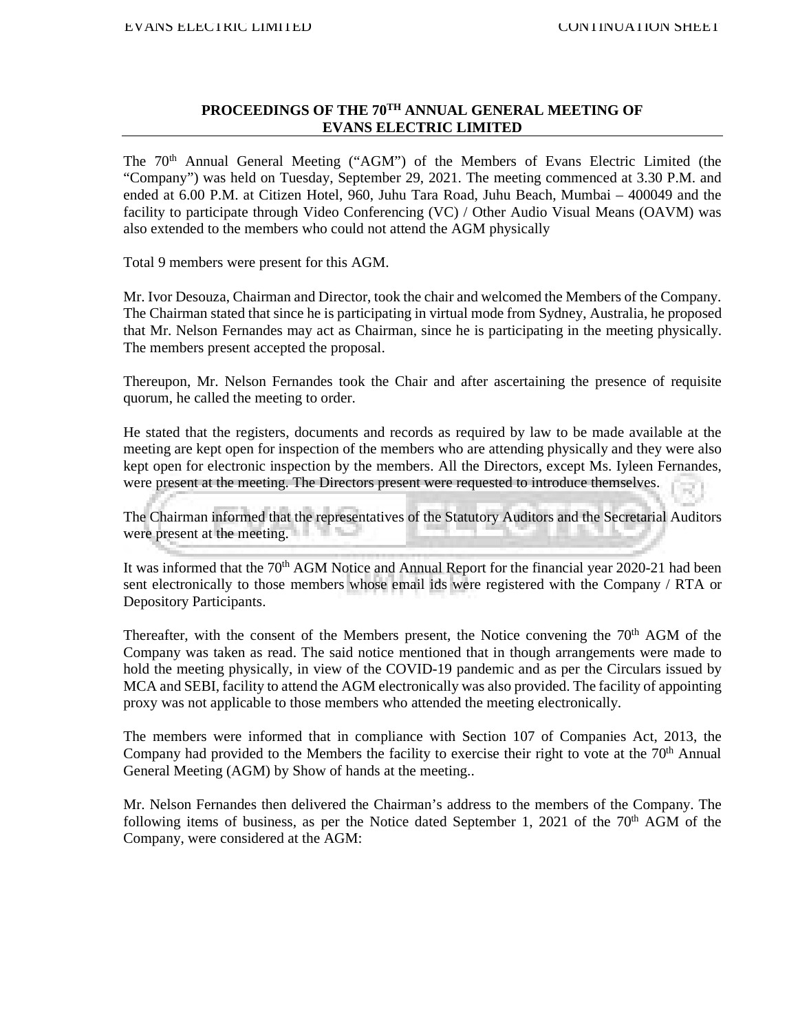#### **PROCEEDINGS OF THE 70TH ANNUAL GENERAL MEETING OF EVANS ELECTRIC LIMITED**

The 70th Annual General Meeting ("AGM") of the Members of Evans Electric Limited (the "Company") was held on Tuesday, September 29, 2021. The meeting commenced at 3.30 P.M. and ended at 6.00 P.M. at Citizen Hotel, 960, Juhu Tara Road, Juhu Beach, Mumbai – 400049 and the facility to participate through Video Conferencing (VC) / Other Audio Visual Means (OAVM) was also extended to the members who could not attend the AGM physically

Total 9 members were present for this AGM.

Mr. Ivor Desouza, Chairman and Director, took the chair and welcomed the Members of the Company. The Chairman stated that since he is participating in virtual mode from Sydney, Australia, he proposed that Mr. Nelson Fernandes may act as Chairman, since he is participating in the meeting physically. The members present accepted the proposal.

Thereupon, Mr. Nelson Fernandes took the Chair and after ascertaining the presence of requisite quorum, he called the meeting to order.

He stated that the registers, documents and records as required by law to be made available at the meeting are kept open for inspection of the members who are attending physically and they were also kept open for electronic inspection by the members. All the Directors, except Ms. Iyleen Fernandes, were present at the meeting. The Directors present were requested to introduce themselves.

The Chairman informed that the representatives of the Statutory Auditors and the Secretarial Auditors were present at the meeting.

It was informed that the 70<sup>th</sup> AGM Notice and Annual Report for the financial year 2020-21 had been sent electronically to those members whose email ids were registered with the Company / RTA or Depository Participants.

Thereafter, with the consent of the Members present, the Notice convening the  $70<sup>th</sup>$  AGM of the Company was taken as read. The said notice mentioned that in though arrangements were made to hold the meeting physically, in view of the COVID-19 pandemic and as per the Circulars issued by MCA and SEBI, facility to attend the AGM electronically was also provided. The facility of appointing proxy was not applicable to those members who attended the meeting electronically.

The members were informed that in compliance with Section 107 of Companies Act, 2013, the Company had provided to the Members the facility to exercise their right to vote at the  $70<sup>th</sup>$  Annual General Meeting (AGM) by Show of hands at the meeting..

Mr. Nelson Fernandes then delivered the Chairman's address to the members of the Company. The following items of business, as per the Notice dated September 1, 2021 of the  $70<sup>th</sup>$  AGM of the Company, were considered at the AGM: